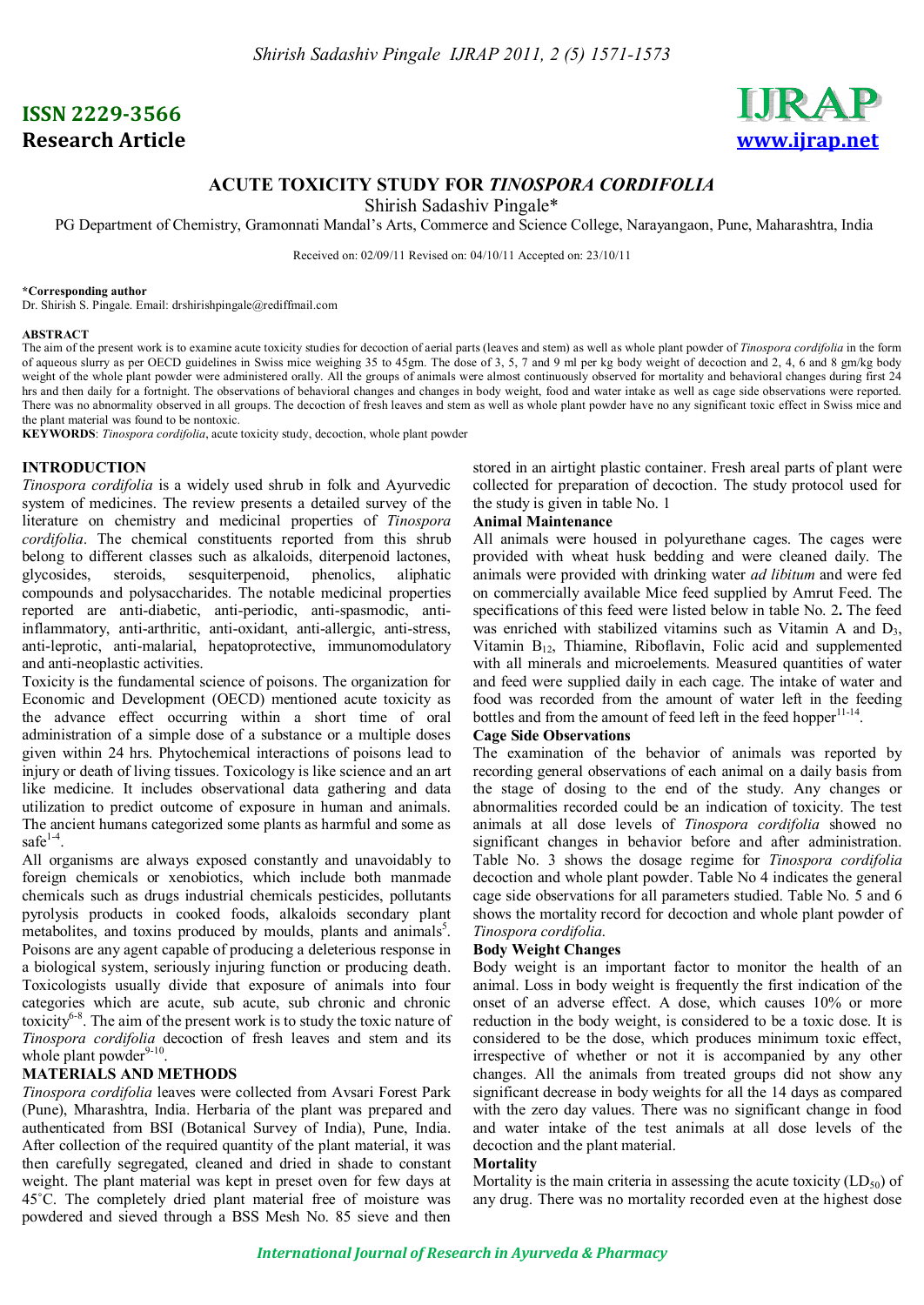# **ISSN 2229-3566 Research Article www.ijrap.net**



## **ACUTE TOXICITY STUDY FOR** *TINOSPORA CORDIFOLIA*

Shirish Sadashiv Pingale\*

PG Department of Chemistry, Gramonnati Mandal's Arts, Commerce and Science College, Narayangaon, Pune, Maharashtra, India

Received on: 02/09/11 Revised on: 04/10/11 Accepted on: 23/10/11

#### **\*Corresponding author**

Dr. Shirish S. Pingale. Email: drshirishpingale@rediffmail.com

#### **ABSTRACT**

The aim of the present work is to examine acute toxicity studies for decoction of aerial parts (leaves and stem) as well as whole plant powder of *Tinospora cordifolia* in the form of aqueous slurry as per OECD guidelines in Swiss mice weighing 35 to 45gm. The dose of 3, 5, 7 and 9 ml per kg body weight of decoction and 2, 4, 6 and 8 gm/kg body weight of the whole plant powder were administered orally. All the groups of animals were almost continuously observed for mortality and behavioral changes during first 24 hrs and then daily for a fortnight. The observations of behavioral changes and changes in body weight, food and water intake as well as cage side observations were reported. There was no abnormality observed in all groups. The decoction of fresh leaves and stem as well as whole plant powder have no any significant toxic effect in Swiss mice and the plant material was found to be nontoxic.

**KEYWORDS**: *Tinospora cordifolia*, acute toxicity study, decoction, whole plant powder

## **INTRODUCTION**

*Tinospora cordifolia* is a widely used shrub in folk and Ayurvedic system of medicines. The review presents a detailed survey of the literature on chemistry and medicinal properties of *Tinospora cordifolia*. The chemical constituents reported from this shrub belong to different classes such as alkaloids, diterpenoid lactones, glycosides, steroids, sesquiterpenoid, phenolics, aliphatic compounds and polysaccharides. The notable medicinal properties reported are anti-diabetic, anti-periodic, anti-spasmodic, antiinflammatory, anti-arthritic, anti-oxidant, anti-allergic, anti-stress, anti-leprotic, anti-malarial, hepatoprotective, immunomodulatory and anti-neoplastic activities.

Toxicity is the fundamental science of poisons. The organization for Economic and Development (OECD) mentioned acute toxicity as the advance effect occurring within a short time of oral administration of a simple dose of a substance or a multiple doses given within 24 hrs. Phytochemical interactions of poisons lead to injury or death of living tissues. Toxicology is like science and an art like medicine. It includes observational data gathering and data utilization to predict outcome of exposure in human and animals. The ancient humans categorized some plants as harmful and some as  $safe^{1-4}$ .

All organisms are always exposed constantly and unavoidably to foreign chemicals or xenobiotics, which include both manmade chemicals such as drugs industrial chemicals pesticides, pollutants pyrolysis products in cooked foods, alkaloids secondary plant metabolites, and toxins produced by moulds, plants and animals<sup>5</sup>. Poisons are any agent capable of producing a deleterious response in a biological system, seriously injuring function or producing death. Toxicologists usually divide that exposure of animals into four categories which are acute, sub acute, sub chronic and chronic toxicity6-8 . The aim of the present work is to study the toxic nature of *Tinospora cordifolia* decoction of fresh leaves and stem and its whole plant powder<sup>9-10</sup> .

## **MATERIALS AND METHODS**

*Tinospora cordifolia* leaves were collected from Avsari Forest Park (Pune), Mharashtra, India. Herbaria of the plant was prepared and authenticated from BSI (Botanical Survey of India), Pune, India. After collection of the required quantity of the plant material, it was then carefully segregated, cleaned and dried in shade to constant weight. The plant material was kept in preset oven for few days at 45˚C. The completely dried plant material free of moisture was powdered and sieved through a BSS Mesh No. 85 sieve and then

stored in an airtight plastic container. Fresh areal parts of plant were collected for preparation of decoction. The study protocol used for the study is given in table No. 1

### **Animal Maintenance**

All animals were housed in polyurethane cages. The cages were provided with wheat husk bedding and were cleaned daily. The animals were provided with drinking water *ad libitum* and were fed on commercially available Mice feed supplied by Amrut Feed. The specifications of this feed were listed below in table No. 2**.** The feed was enriched with stabilized vitamins such as Vitamin A and  $D_3$ , Vitamin B12, Thiamine, Riboflavin, Folic acid and supplemented with all minerals and microelements. Measured quantities of water and feed were supplied daily in each cage. The intake of water and food was recorded from the amount of water left in the feeding bottles and from the amount of feed left in the feed hopper<sup>11-14</sup> .

#### **Cage Side Observations**

The examination of the behavior of animals was reported by recording general observations of each animal on a daily basis from the stage of dosing to the end of the study. Any changes or abnormalities recorded could be an indication of toxicity. The test animals at all dose levels of *Tinospora cordifolia* showed no significant changes in behavior before and after administration. Table No. 3 shows the dosage regime for *Tinospora cordifolia* decoction and whole plant powder. Table No 4 indicates the general cage side observations for all parameters studied. Table No. 5 and 6 shows the mortality record for decoction and whole plant powder of *Tinospora cordifolia*.

## **Body Weight Changes**

Body weight is an important factor to monitor the health of an animal. Loss in body weight is frequently the first indication of the onset of an adverse effect. A dose, which causes 10% or more reduction in the body weight, is considered to be a toxic dose. It is considered to be the dose, which produces minimum toxic effect, irrespective of whether or not it is accompanied by any other changes. All the animals from treated groups did not show any significant decrease in body weights for all the 14 days as compared with the zero day values. There was no significant change in food and water intake of the test animals at all dose levels of the decoction and the plant material.

### **Mortality**

Mortality is the main criteria in assessing the acute toxicity  $(LD_{50})$  of any drug. There was no mortality recorded even at the highest dose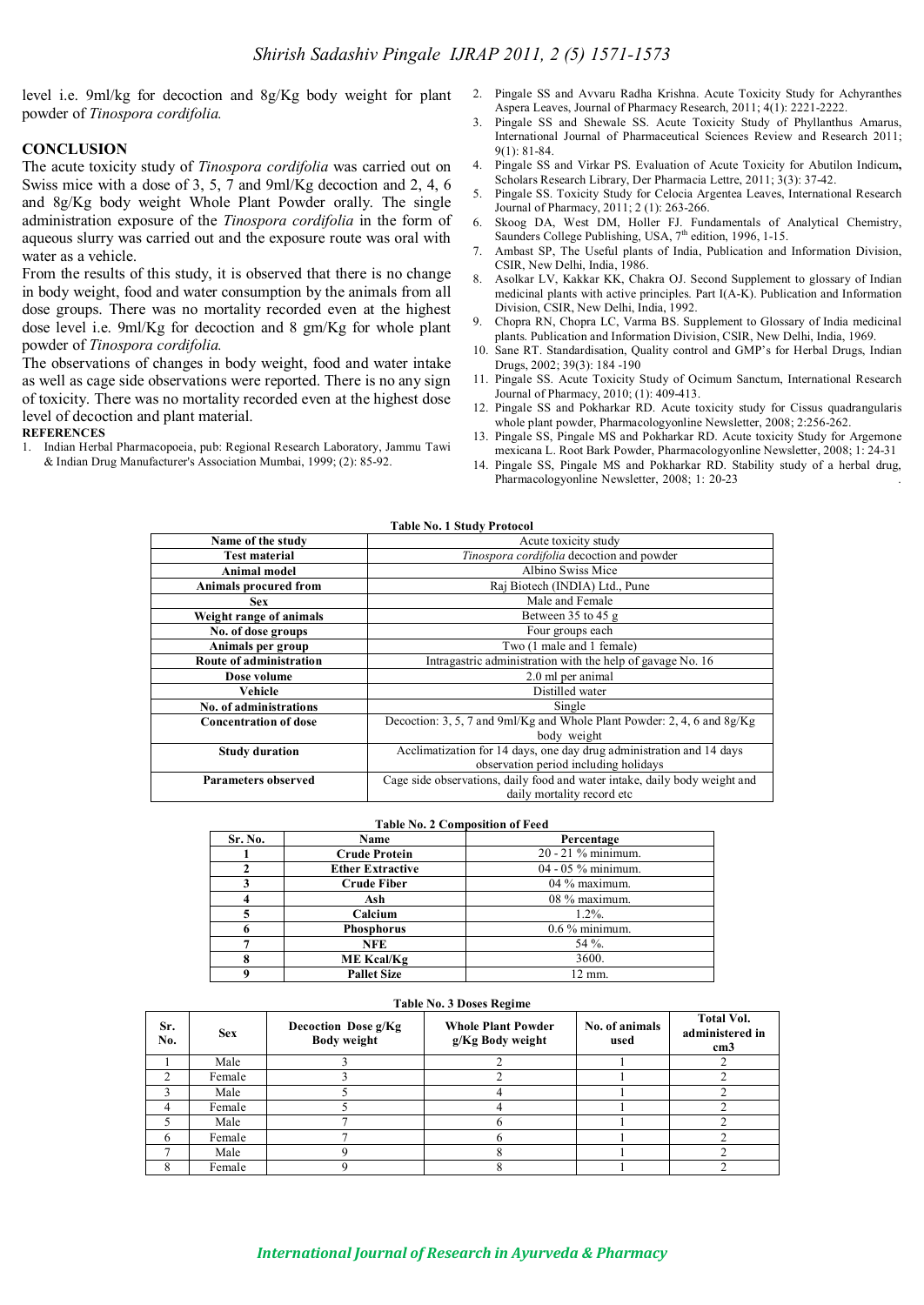level i.e. 9ml/kg for decoction and 8g/Kg body weight for plant powder of *Tinospora cordifolia.*

#### **CONCLUSION**

The acute toxicity study of *Tinospora cordifolia* was carried out on Swiss mice with a dose of 3, 5, 7 and 9ml/Kg decoction and 2, 4, 6 and 8g/Kg body weight Whole Plant Powder orally. The single administration exposure of the *Tinospora cordifolia* in the form of aqueous slurry was carried out and the exposure route was oral with water as a vehicle.

From the results of this study, it is observed that there is no change in body weight, food and water consumption by the animals from all dose groups. There was no mortality recorded even at the highest dose level i.e. 9ml/Kg for decoction and 8 gm/Kg for whole plant powder of *Tinospora cordifolia.*

The observations of changes in body weight, food and water intake as well as cage side observations were reported. There is no any sign of toxicity. There was no mortality recorded even at the highest dose level of decoction and plant material.

**REFERENCES**

1. Indian Herbal Pharmacopoeia, pub: Regional Research Laboratory, Jammu Tawi & Indian Drug Manufacturer's Association Mumbai, 1999; (2): 85-92.

- 2. Pingale SS and Avvaru Radha Krishna. Acute Toxicity Study for Achyranthes Aspera Leaves, Journal of Pharmacy Research, 2011; 4(1): 2221-2222.
- 3. Pingale SS and Shewale SS. Acute Toxicity Study of Phyllanthus Amarus, International Journal of Pharmaceutical Sciences Review and Research 2011; 9(1): 81-84.
- 4. Pingale SS and Virkar PS. Evaluation of Acute Toxicity for Abutilon Indicum**,** Scholars Research Library, Der Pharmacia Lettre, 2011; 3(3): 37-42.
- 5. Pingale SS. Toxicity Study for Celocia Argentea Leaves, International Research Journal of Pharmacy, 2011; 2 (1): 263-266.
- 6. Skoog DA, West DM, Holler FJ. Fundamentals of Analytical Chemistry, Saunders College Publishing, USA, 7<sup>th</sup> edition, 1996, 1-15.
- 7. Ambast SP, The Useful plants of India, Publication and Information Division, CSIR, New Delhi, India, 1986.
- 8. Asolkar LV, Kakkar KK, Chakra OJ. Second Supplement to glossary of Indian medicinal plants with active principles. Part I(A-K). Publication and Information Division, CSIR, New Delhi, India, 1992.
- 9. Chopra RN, Chopra LC, Varma BS. Supplement to Glossary of India medicinal plants. Publication and Information Division, CSIR, New Delhi, India, 1969.
- 10. Sane RT. Standardisation, Quality control and GMP's for Herbal Drugs, Indian Drugs, 2002; 39(3): 184 -190
- 11. Pingale SS. Acute Toxicity Study of Ocimum Sanctum, International Research Journal of Pharmacy, 2010; (1): 409-413.
- 12. Pingale SS and Pokharkar RD. Acute toxicity study for Cissus quadrangularis whole plant powder, Pharmacologyonline Newsletter, 2008; 2:256-262.
- 13. Pingale SS, Pingale MS and Pokharkar RD. Acute toxicity Study for Argemone mexicana L. Root Bark Powder, Pharmacologyonline Newsletter, 2008; 1: 24-31
- 14. Pingale SS, Pingale MS and Pokharkar RD. Stability study of a herbal drug, Pharmacologyonline Newsletter, 2008; 1: 20-23 .

| <b>Table No. 1 Study Protocol</b>                                                                                                      |                                                                                                               |  |  |  |
|----------------------------------------------------------------------------------------------------------------------------------------|---------------------------------------------------------------------------------------------------------------|--|--|--|
| Name of the study                                                                                                                      | Acute toxicity study                                                                                          |  |  |  |
| <b>Test material</b>                                                                                                                   | Tinospora cordifolia decoction and powder                                                                     |  |  |  |
| <b>Animal model</b>                                                                                                                    | Albino Swiss Mice                                                                                             |  |  |  |
| <b>Animals procured from</b>                                                                                                           | Raj Biotech (INDIA) Ltd., Pune                                                                                |  |  |  |
| <b>Sex</b>                                                                                                                             | Male and Female                                                                                               |  |  |  |
| Weight range of animals                                                                                                                | Between 35 to 45 g                                                                                            |  |  |  |
| No. of dose groups                                                                                                                     | Four groups each                                                                                              |  |  |  |
| Animals per group                                                                                                                      | Two (1 male and 1 female)                                                                                     |  |  |  |
| Route of administration                                                                                                                | Intragastric administration with the help of gavage No. 16                                                    |  |  |  |
| Dose volume                                                                                                                            | 2.0 ml per animal                                                                                             |  |  |  |
| Vehicle                                                                                                                                | Distilled water                                                                                               |  |  |  |
| No. of administrations                                                                                                                 | Single                                                                                                        |  |  |  |
| <b>Concentration of dose</b>                                                                                                           | Decoction: 3, 5, 7 and 9ml/Kg and Whole Plant Powder: 2, 4, 6 and 8g/Kg<br>body weight                        |  |  |  |
| <b>Study duration</b>                                                                                                                  | Acclimatization for 14 days, one day drug administration and 14 days<br>observation period including holidays |  |  |  |
| Cage side observations, daily food and water intake, daily body weight and<br><b>Parameters observed</b><br>daily mortality record etc |                                                                                                               |  |  |  |

#### **Table No. 2 Composition of Feed**

| Sr. No. | Name<br>Percentage      |                      |  |  |  |  |
|---------|-------------------------|----------------------|--|--|--|--|
|         | <b>Crude Protein</b>    | 20 - 21 % minimum.   |  |  |  |  |
|         | <b>Ether Extractive</b> | $04 - 05$ % minimum. |  |  |  |  |
|         | <b>Crude Fiber</b>      | 04 % maximum.        |  |  |  |  |
|         | Ash                     | 08 % maximum.        |  |  |  |  |
|         | Calcium                 | $1.2\%$ .            |  |  |  |  |
|         | <b>Phosphorus</b>       | $0.6\%$ minimum.     |  |  |  |  |
|         | <b>NFE</b>              | 54 %.                |  |  |  |  |
|         | <b>ME Kcal/Kg</b>       | 3600.                |  |  |  |  |
|         | <b>Pallet Size</b>      | 12 mm.               |  |  |  |  |

#### **Table No. 3 Doses Regime**

| Sr.<br>No. | <b>Sex</b> | Decoction Dose g/Kg<br><b>Body weight</b> | <b>Whole Plant Powder</b><br>g/Kg Body weight | No. of animals<br>used | <b>Total Vol.</b><br>administered in<br>cm <sub>3</sub> |  |
|------------|------------|-------------------------------------------|-----------------------------------------------|------------------------|---------------------------------------------------------|--|
|            | Male       |                                           |                                               |                        |                                                         |  |
| ◠          | Female     |                                           |                                               |                        |                                                         |  |
|            | Male       |                                           |                                               |                        |                                                         |  |
|            | Female     |                                           |                                               |                        |                                                         |  |
|            | Male       |                                           |                                               |                        |                                                         |  |
|            | Female     |                                           |                                               |                        |                                                         |  |
|            | Male       |                                           |                                               |                        |                                                         |  |
|            | Female     |                                           |                                               |                        |                                                         |  |